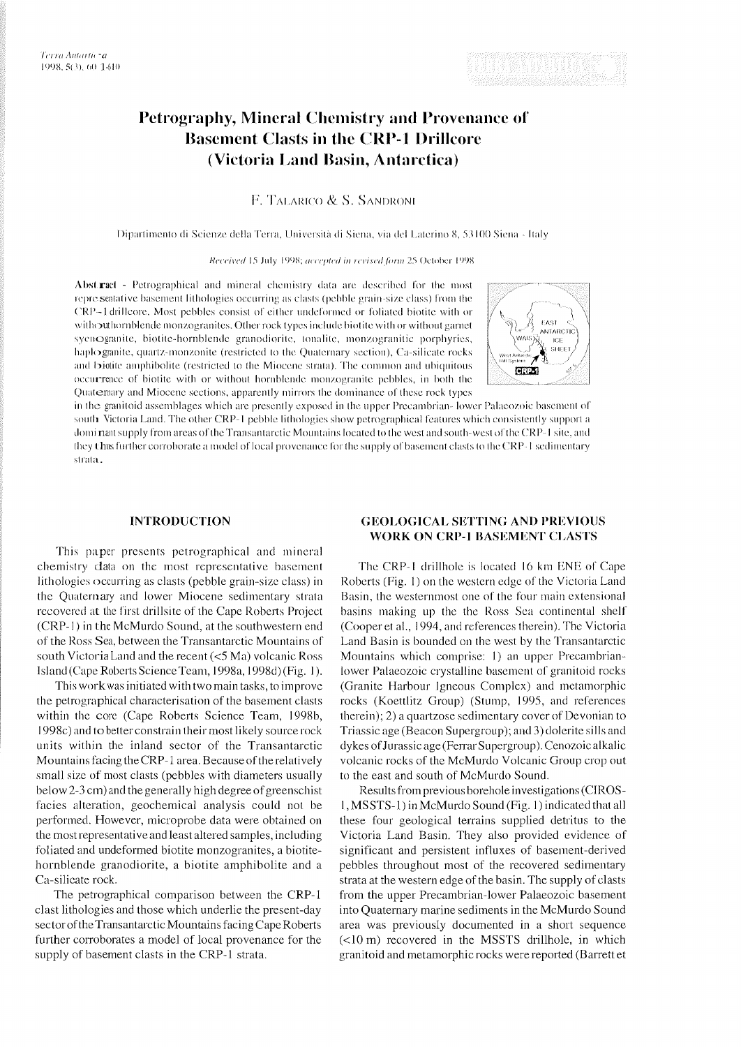# Petrography, Mineral Chemistry and Provenance of **Basement Clasts in the CRP-1 Drillcore (Victoria Land Basin, Antarctica)**

F. TALARICO & S. SANDRONI

Dipartimento di Scienze della Terra, Università di Siena, via del Laterino 8, 53100 Siena - Italy

Received 15 July 1998; accepted in revised form 25 October 1998

Abstract - Petrographical and mineral chemistry data are described for the most representative basement lithologies occurring as clasts (pebble grain-size class) from the CRP-1 drilleore. Most pebbles consist of either undeformed or foliated biotite with or withouthornblende monzogranites. Other rock types include biotite with or without garnet syenOgranite, biotite-hornblende granodiorite, tonalite, monzogranitic porphyries, haplogranite, quartz-monzonite (restricted to the Quaternary section), Ca-silicate rocks and biotite amphibolite (restricted to the Miocene strata). The common and ubiquitous occurrence of biotite with or without hornblende monzogranite pebbles, in both the Quaternary and Miocene sections, apparently mirrors the dominance of these rock types



in the granitoid assemblages which are presently exposed in the upper Precambrian-lower Palaeozoic basement of south Victoria Land. The other CRP-1 pebble lithologies show petrographical features which consistently support a domi nant supply from areas of the Transantarctic Mountains located to the west and south-west of the CRP-1 site, and they thus further corroborate a model of local provenance for the supply of basement clasts to the CRP-1 sedimentary strata.

## **INTRODUCTION**

This paper presents petrographical and mineral chemislry data on the most representative basement lithologies occurring as clasts (pebble grain-size class) in the Quaternary and lower Miocene sedimentary strata recovered at the first drillsite of the Cape Roberts Project (CRP-1) in the McMurdo Sound, at the southwestern end of the Ross Sea. between the Transantarctic Mountains ol' south VictoriaLand and the recent (<S Ma) volcanic Ross Island (Cape Roberts Science Team, 1998a, 1998d) (Fig. 1).

This workwas initiated with two main tasks, to improve the petrographical characterisation of the basement clasts within the core (Cape Roberts Science Team, 1998b, 1998c) and to better constrain their most likely source rock units within the inland sector of the Transantarctic Mountains facing the CRP- 1 area. Because of the relatively small size of most clasts (pebbles with diameters usually below 2-3 cm) and thegenerally high degree of greenschist facies alteration, geochemical analysis could not be performed. However, microprobe data were obtained on the most representative and least altered samples, including foliated and undeformed biotite monzogranites, a biotitehornblende granodiorite, a biotite amphibolite and a Ca-silicate rock.

The petrographical comparison between the CRP-1 clast lithologies and those which underlie the present-day sector of the Transantarctic Mountains facing Cape Roberts further corroborates a model of local provenance for the supply of basement clasts in the CRP-1 strata.

# **GEOLOGICAL SETTING AND PREVIOUS WORK ON CRP-1 BASEMENT CLASTS**

The CRP-1 drillhole is located 16 km ENE of Cape Roberts (Fig. 1) on the western edge of the Victoria Land Basin, the westernmost one of the four main extensional basins making up the the Ross Sea continental shelf (Cooper et al., 1994, and rcferenccs therein). Thc Victoria Land Basin is bounded on the west by the Transantarctic Mountains which comprise: 1) an upper Precambrianlower Palaeozoic crystalline basement of granitoid rocks (Granite Harbour Igneous Complex) and metamorphic rocks (Koettlitz Group) (Stump, 1995, and references therein); 2) a quartzose sedimentary cover of Dcvonian to Triassic age (Beacon Supergroup); and 3) dolerite sills and dykes of Jurassic age (Ferrar Supergroup). Cenozoic alkalic volcanic rocks of the McMurdo Volcanic Group crop out to the east and south of McMurdo Sound.

Results fromprevious borehole investigations (CIROS-I, MSSTS-1) in McMurdo Sound (Fig. 1) indicated that all these four geological terrains supplied detritus to the Victoria Land Basin. They also provided evidence of significant and persistent influxes of basement-derived pebbles throughout most of the recovered sedimentary strata at the western edge of the basin. The supply of clasts from the upper Precambrian-lower Palaeozoic basement into Quaternary marine sediments in the McMurdo Sound area was previously documented in a short sequence (<l0 m) recovered in the MSSTS drillhole, in which granitoid and metamorphic rocks were reported (Barrett et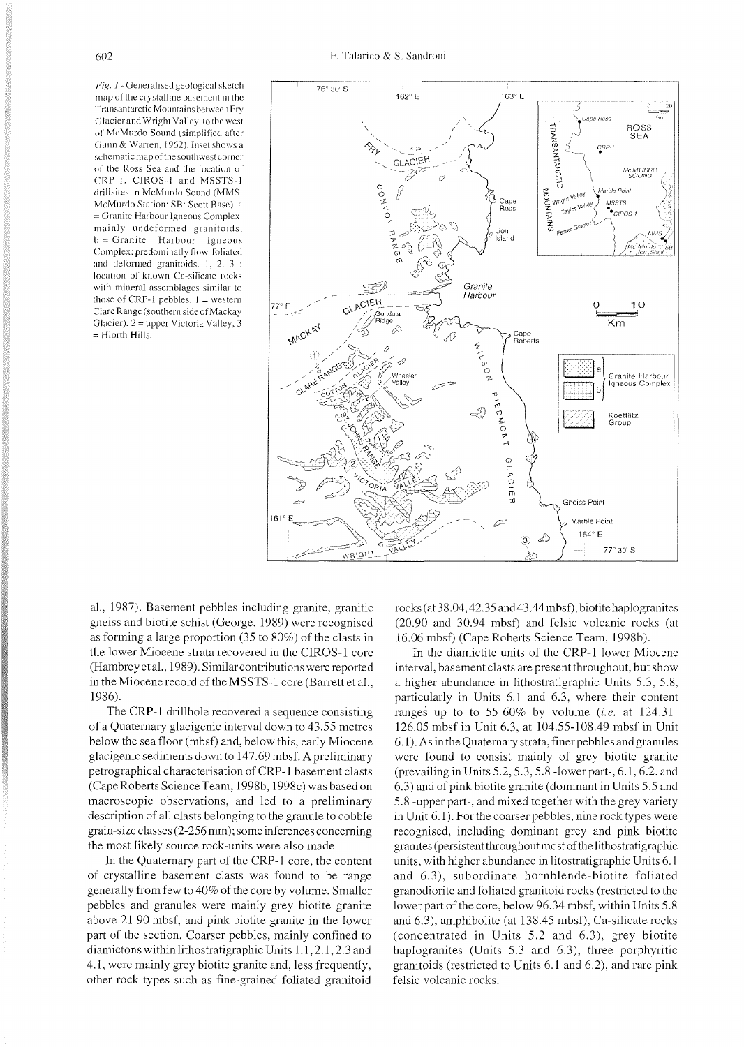Fig. 1 - Generalised geological sketch map of the crystalline basement in the Transantarctic Mountains between Fry Glacier and Wright Valley, to the west <sup>01</sup>' McMurdo Sound (simplified after Gunn & Warren. 1962). Inset shows a schematic map of thesouthwest corner of the Ross Sea and the location of CRP-1, CIROS-1 and MSSTS-1 drillsites in McMurdo Sound (MMS: McMurdo Station: SB: Scott Base). a = Granite Harbour Igneous Complex: mainly undeformed granitoids:  $b =$  Granite Harbour Igneous Complex: predominatly flow-foliated and deformed granitoids. 1, 2, 3 : location of known Ca-silicate rocks with mineral assemblages similar to those of CRP-1 pebbles.  $1 =$  western ClareRange (southern side of Mackay Glacier). 2 =upper Victoria Valley. 3 = Hiorth Hills.



al.. 1987). Basement pebbles including granite, granitic gneiss and biotite schist (George, 1989) were recognised as forming a large proportion (35 to 80%) of the clasts in the lower Miocene strata recovered in the CIROS-1 core (Hambrey et al., 1989). Similar contributions were reported in the Miocene record of the MSSTS-1 core (Barrett et al., 1986).

The CRP-1 drillhole recovered a sequence consisting of a Quaternary glacigenic interval down to 43.55 metres below the sea floor (mbsf) and, below this, early Miocene glacigenic sediments down to 147.69 mbsf. Apreliminary petrographical characterisation of CRP- 1 basement clasts (Cape Roberts Science Team, 1998b, 1998c) was based on macroscopic observations, and led to a preliminary description of all clasts belonging to the granule to cobble grain-size classes (2-256 mm); some inferences concerning the most likely source rock-units were also made.

In the Quaternary part of the CRP-1 core, the content of crystalline basement clasts was found to be range generally from few to 40% of the core by volume. Smaller pebbles and granules were mainly grey biotite granite above 21.90 mbsf, and pink biotite granite in the lower part of the section. Coarser pebbles, mainly confined to diamictons within lithostratigraphic Units 1.1,2.1,2.3 and 4.1, were mainly grey biotite granite and, less frequently, other rock types such as fine-grained foliated granitoid rocks (at38.04,42.35 and43,44mbsf), biotitehaplogranites (20.90 and 30.94 mbsf) and felsic volcanic rocks (at 16.06 mbsf) (Cape Roberts Science Team, 1998b).

In the diamictite units of the CRP-1 lower Miocene interval, basement clasts are present throughout, but show a higher abundance in lithostratigraphic Units 5.3. 5.8. particularly in Units 6.1 and 6.3, where their content ranges up to to 55-60% by volume **(i.e.** at 124.31- 126.05 mbsf in Unit 6.3, at 104.55-108.49 mbsf in Unit 6.1). As in the Quaternary strata, finer pebbles and granules were found to consist mainly of grey biotite granite (prevailing in Units  $5.2, 5.3, 5.8$  -lower part-,  $6.1, 6.2$ . and 6.3) and of pink biotite granite (dominant in Units 5.5 and 5.8 -upper part-, and mixed together with the grey variety in Unit 6.1). For the coarser pebbles, nine rock types were recognised, including dominant grey and pink biotite granites (persistent throughout most of thelithostratigraphic units, with higher abundance in litostratigraphic Units 6.1 and 6.3), subordinate hornblende-biotite foliated granodiorite and foliated granitoid rocks (restricted to the lower part of the core, below 96.34 mbsf, within Units 5.8 and 6.3), amphibolite (at 138.45 mbsf), Ca-silicate rocks (concentrated in Units 5.2 and 6.3); grey biotite haplogranites (Units 5.3 and 6.3), three porphyritic granitoids (restricted to Units 6.1 and 6.2), and rare pink felsic volcanic rocks.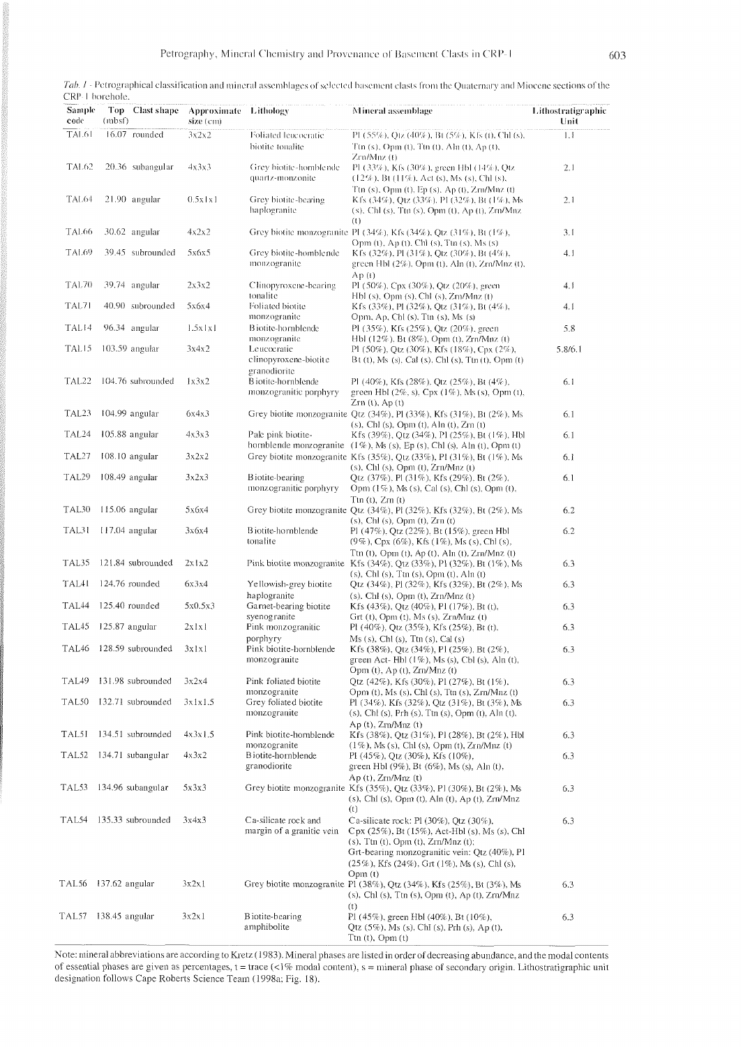| Tab. 1 - Petrographical classification and mineral assemblages of selected basement clasts from the Quaternary and Miocene sections of the |
|--------------------------------------------------------------------------------------------------------------------------------------------|
| CRP-1 borehole.                                                                                                                            |

| Sample<br>code    | Top Clast shape<br>(mbst) | Approximate Lithology<br>size (cm) |                                                               | <b>Mineral assemblage</b>                                                                                                                                                                                                                                                          | Lithostratigraphic<br>Unit |
|-------------------|---------------------------|------------------------------------|---------------------------------------------------------------|------------------------------------------------------------------------------------------------------------------------------------------------------------------------------------------------------------------------------------------------------------------------------------|----------------------------|
| TAL61             | 16.07 rounded             | 3x2x2                              | Foliated leucocratic<br>biotite tonalite                      | PI (55%), Qtz (40%), Bt (5%), Kfs (t), Chl (s),<br>Ttn (s), Opm (t), Ttn (t), Aln (t), Ap (t),                                                                                                                                                                                     | 1.1                        |
| TAL <sub>62</sub> | 20.36 subangular          | 4x3x3                              | Grey biotite-homblende<br>quartz-monzonite                    | Zro/Mnz (t)<br>PI (33%), Kfs (30%), green HbI (14%), Qtz<br>$(12\%)$ , Bt $(11\%)$ , Act (s), Ms (s), Chl (s),                                                                                                                                                                     | 2.1                        |
| TAL64             | 21.90 angular             | 0.5x1x1                            | Grey biotite-bearing<br>haplogranite                          | Ttn (s), Opm (t), Ep (s), Ap (t), Zrn/Mnz (t)<br>K fs (34%), Qtz (33%), Pl (32%), Bt (1%), Ms<br>(s), Chl (s), Ttn (s), Opm (t), Ap (t), Zrn/Mnz                                                                                                                                   | 2.1                        |
| TAL <sub>66</sub> | 30.62 angular             | 4x2x2                              |                                                               | $\left( \mathbf{U}\right)$<br>Grey biotite monzogranite PI (34%), Kfs (34%), Qtz (31%), Bt (1%),                                                                                                                                                                                   | 3.1                        |
| TAL <sub>69</sub> | 39.45 subrounded          | 5x6x5                              | Grey biotite-homblende<br>monzogranite                        | Opm (t), Ap (t), Chl (s), Ttn (s), Ms (s)<br>K fs $(32\%)$ , Pl $(31\%)$ , Qtz $(30\%)$ , Bt $(4\%)$ ,<br>green Hbl (2%), Opm (t), Aln (t), Zrn/Mnz (t),                                                                                                                           | 4.1                        |
| TAL70             | 39.74 angular             | 2x3x2                              | Clinopyroxene-bearing                                         | Ap(t)<br>Pl (50%), Cpx (30%), Qtz (20%), green                                                                                                                                                                                                                                     | 4.1                        |
| TAL71             | 40.90 subrounded          | 5x6x4                              | tonalite<br>Foliated biotite                                  | Hbl (s), Opm (s), Chl (s), Zrn/Mnz (t)<br>Kfs (33%), Pl (32%), Qtz (31%), Bt (4%),                                                                                                                                                                                                 | 4.1                        |
| TAL <sub>14</sub> | 96.34 angular             | 1.5x1x1                            | monzogranite<br>B iotite-hornblende                           | Opm, Ap, Chl (s), Ttn (s), Ms (s)<br>Pl (35%), Kfs (25%), Qtz (20%), green                                                                                                                                                                                                         | 5.8                        |
| TALI5             | $103.59$ angular          | 3x4x2                              | monzogranite<br>Leucocratic<br>clinopyroxene-biotite          | Hbl (12%), Bt (8%), Opm (t), Zrn/Mnz (t)<br>Pl (50%), Qtz (30%), Kfs (18%), Cpx (2%),<br>$Bf(t)$ , Ms (s), Cal (s), Chl (s), Ttn (t), Opm (t)                                                                                                                                      | 5.8/6.1                    |
| TAL <sub>22</sub> | 104.76 subrounded         | 1x3x2                              | granodiorite<br>B iotite-hornblende<br>monzogranitic porphyry | Pl (40%), Kfs (28%), Qtz (25%), Bt (4%),<br>green Hbl $(2\%, s)$ , Cpx $(1\%)$ , Ms $(s)$ , Opm $(t)$ ,<br>$Zrn(t)$ , Ap $(t)$                                                                                                                                                     | 6.1                        |
| TAL23             | 104.99 angular            | 6x4x3                              |                                                               | Grey biotite monzogranite Qtz $(34\%)$ , Pl $(33\%)$ , Kfs $(31\%)$ , Bt $(2\%)$ , Ms                                                                                                                                                                                              | 6.1                        |
| TAL <sub>24</sub> | 105.88 angular            | 4x3x3                              | Pale pink biotite-                                            | $(s)$ , Chl $(s)$ , Opm $(t)$ , Aln $(t)$ , Zrn $(t)$<br>Kfs (39%), Qtz (34%), Pl (25%), Bt (1%), Hbl<br>hornblende monzogranite $(1\%)$ , Ms (s), Ep (s), Chl (s), Aln (t), Opm (t)                                                                                               | 6.1                        |
| TAL <sub>27</sub> | 108.10 angular            | 3x2x2                              |                                                               | Grey biotite monzogranite Kfs (35%), Qtz (33%), PI (31%), Bt (1%), Ms<br>$(s)$ , Chl $(s)$ , Opm $(t)$ , Zrn/Mnz $(t)$                                                                                                                                                             | 6.1                        |
| TAL <sub>29</sub> | 108.49 angular            | 3x2x3                              | B iotite-bearing<br>monzogranitic porphyry                    | Qtz $(37\%)$ , Pl $(31\%)$ , Kfs $(29\%)$ , Bt $(2\%)$ ,<br>Opm (1%), Ms (s), Cal (s), Chl (s), Opm (t),                                                                                                                                                                           | 6.1                        |
| TAL30             | 115.06 angular            | 5x6x4                              |                                                               | $Ttn(t)$ , $Zrn(t)$<br>Grey biotite monzogranite Qtz $(34\%)$ , Pl $(32\%)$ , Kfs $(32\%)$ , Bt $(2\%)$ , Ms<br>$(s)$ , Chl $(s)$ , Opm $(t)$ , Zrn $(t)$                                                                                                                          | 6.2                        |
| TAL31             | 117.04 angular            | 3х6х4                              | B iotite-hornblende<br>tonalite                               | Pl $(47\%)$ , Qtz $(22\%)$ , Bt $(15\%)$ , green Hbl<br>$(9\%)$ , Cpx $(6\%)$ , Kfs $(1\%)$ , Ms $(s)$ , Chl $(s)$ ,                                                                                                                                                               | 6.2                        |
| TAL35             | 121.84 subrounded         | 2x1x2                              |                                                               | Ttn $(t)$ , Opm $(t)$ , Ap $(t)$ , Aln $(t)$ , Zrn/Mnz $(t)$<br>Pink biotite monzogranite Kfs $(34\%)$ , Qtz $(33\%)$ , Pl $(32\%)$ , Bt $(1\%)$ , Ms                                                                                                                              | 6.3                        |
| TAL41             | 124.76 rounded            | 6x3x4                              | Yellowish-grey biotite                                        | $(s)$ , ChI $(s)$ , Ttn $(s)$ , Opm $(t)$ , Aln $(t)$<br>Qtz $(34\%)$ , Pl $(32\%)$ , Kfs $(32\%)$ , Bt $(2\%)$ , Ms                                                                                                                                                               | 6.3                        |
| TAL <sub>44</sub> | 125.40 rounded            | 5x0.5x3                            | haplogranite<br>Garnet-bearing biotite                        | $(s)$ , Chl $(s)$ , Opm $(t)$ , Zrn/Mnz $(t)$<br>Kfs (43%), Qtz (40%), Pl (17%), Bt (t),                                                                                                                                                                                           | 6.3                        |
| TAL45             | 125.87 angular            | 2x1x1                              | syenogranite<br>Pink monzogranitic                            | Grt $(t)$ , Opm $(t)$ , Ms $(s)$ , Zrn/Mnz $(t)$<br>PI $(40\%)$ , Qtz $(35\%)$ , Kfs $(25\%)$ , Bt (t),                                                                                                                                                                            | 6.3                        |
| TAL46             | 128.59 subrounded         | 3x1x1                              | porphyry<br>Pink biotite-hornblende<br>monzogranite           | $Ms(s)$ , Chl $(s)$ , Ttn $(s)$ , Cal $(s)$<br>Kfs (38%), Qtz (34%), Pl (25%), Bt (2%),<br>green Act-Hbl (1%), Ms (s), Cbl (s), Aln (t),                                                                                                                                           | 6.3                        |
| TAL49             | 131.98 subrounded         | 3x2x4                              | Pink foliated biotite                                         | Opm $(t)$ , Ap $(t)$ , Zrn/Mnz $(t)$<br>Qtz $(42\%)$ , Kfs $(30\%)$ , Pl $(27\%)$ , Bt $(1\%)$ ,                                                                                                                                                                                   | 6.3                        |
| TAL50             | 132.71 subrounded         | 3x1x1.5                            | monzogranite<br>Grey foliated biotite<br>monzogranite         | Opm $(t)$ , Ms $(s)$ , Chl $(s)$ , Ttn $(s)$ , Zrn/Mnz $(t)$<br>Pl $(34\%)$ , Kfs $(32\%)$ , Qtz $(31\%)$ , Bt $(3\%)$ , Ms<br>$(s)$ , Chl $(s)$ , Prh $(s)$ , Ttn $(s)$ , Opm $(t)$ , Aln $(t)$ ,                                                                                 | 6.3                        |
| TAL51             | 134.51 subrounded         | 4x3x1.5                            | Pink biotite-hornblende                                       | $Ap(t)$ , $Zrn/Mnz(t)$<br>Kfs (38%), Qtz (31%), Pl (28%), Bt (2%), Hbl                                                                                                                                                                                                             | 6.3                        |
| TAL52             | 134.71 subangular         | 4x3x2                              | monzogranite<br>B iotite-hornblende<br>granodiorite           | $(1\%)$ , Ms (s), Chl (s), Opm (t), Zrn/Mnz (t)<br>Pl $(45\%)$ , Qtz $(30\%)$ , Kfs $(10\%)$ ,<br>green Hbl (9%), Bt (6%), Ms (s), Aln (t),                                                                                                                                        | 6.3                        |
| TAL53             | 134.96 subangular         | 5x3x3                              |                                                               | $Ap(t)$ , $Zrn/Mnz(t)$<br>Grey biotite monzogranite Kfs (35%), Qtz (33%), Pl (30%), Bt (2%), Ms<br>$(s)$ , ChI $(s)$ , Opm $(t)$ , Aln $(t)$ , Ap $(t)$ , Zrn/Mnz<br>(t)                                                                                                           | 6.3                        |
| TAL54             | 135.33 subrounded         | 3x4x3                              | Ca-silicate rock and<br>margin of a granitic vein             | Ca-silicate rock: Pl $(30\%)$ , Qtz $(30\%)$ .<br>$Cpx(25\%)$ , Bt (15%), Act-Hbl (s), Ms (s), Chl<br>$(s)$ , Ttn $(t)$ , Opm $(t)$ , Zrn/Mnz $(t)$ ;<br>Grt-bearing monzogranitic vein: Qtz (40%), Pl<br>$(25\%)$ , Kfs $(24\%)$ , Grt $(1\%)$ , Ms $(s)$ , Chl $(s)$ ,<br>Opm(t) | 6.3                        |
| TAL56             | 137.62 angular            | 3x2x1                              |                                                               | Grey biotite monzogranite Pl (38%), Qtz (34%), Kfs (25%), Bt (3%), Ms<br>$(s)$ , Chl $(s)$ , Ttn $(s)$ , Opm $(t)$ , Ap $(t)$ , Zrn/Mnz<br>(t)                                                                                                                                     | 6.3                        |
| TAL57             | 138.45 angular            | 3x2x1                              | Biotite-bearing<br>amphibolite                                | PI (45%), green HbI (40%), Bt (10%),<br>Qtz $(5\%)$ , Ms $(s)$ , ChI $(s)$ , Prh $(s)$ , Ap $(t)$ ,<br>$Ttn(t)$ , $Opm(t)$                                                                                                                                                         | 6.3                        |

Note: mineral abbreviations are according to Kretz (1983). Mineral phases are listed in order of decreasing abundance, and the modal contents of essential phases are given as percentages,  $t = \text{trace}$  (<1% modal content),  $s = \text{mineral phase of secondary origin}$ . Lithostratigraphic unit designation follows Cape Roberts Science Team (1998a; Fig. 18).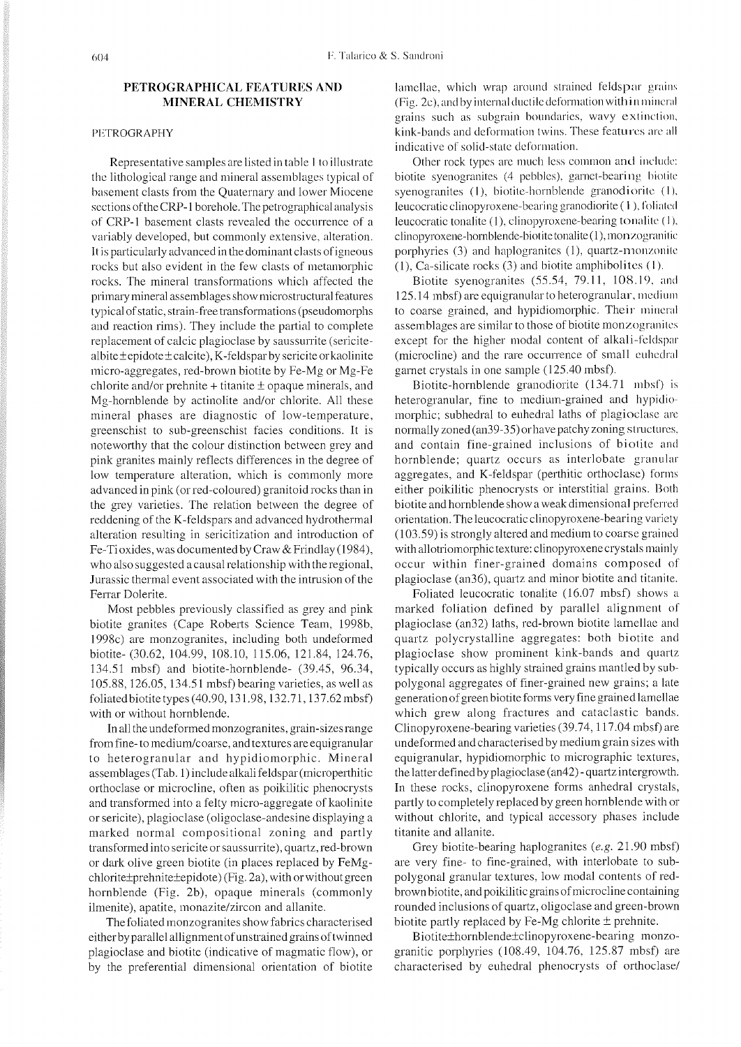## **PETROGRAPHICAL FEATURES AND MINERAL CHEMISTRY**

## PETROGRAPHY

Representative samples are listed in table I to illustrate the lithological range and mineral assemblages typical of basement clasts from the Quaternary and lower Miocene sections of the CRP-1 borehole. The petrographical analysis of CRP-1 basement clasts revealed the occurrence of a variably developed, but comnnonly extensive. alteration. It is particularly advancedin the dominant clasts of igneous rocks but also evident in the few clasts of metamorphic rocks. The mineral transformations which affected the primary mineral assemblages show microstructural features typical of static, strain-free transformations (pseudomorphs and reaction rims). They include the partial to complete replacement of calcic plagioclase by saussurrite (sericitealbite $\pm$ epidote $\pm$ calcite), K-feldsparby sericite or kaolinite micro-aggregates, red-brown biotite by Fe-Mg or Mg-Fe chlorite and/or prehnite  $+$  titanite  $\pm$  opaque minerals, and Mg-hornblende by actinolite and/or chlorite. All these mineral phases are diagnostic of low-temperature, greenschist to sub-greenschist facies conditions. It is noteworthy that the colour distinction between grey and pink granites mainly reflects differences in the degree of low temperature alteration, which is commonly more advanced in pink (or red-coloured) granitoid rocks than in the grey varieties. The relation between the degree of reddening of the K-feldspars and advanced hydrothermal alteration resulting in sericitization and introduction of Fe-Ti oxides, was documented by Craw & Frindlay (1984), who also suggested a causal relationship with the regional, Jurassic thermal event associated with the intrusion of the Ferrar Dolerite.

Most pebbles previously classified as grey and pink biotite granites (Cape Roberts Science Team, 1998b. 1998c) are monzogranites, including both undeformed biotite-(30.62, 104.99, 108.10, 115.06, 121.84, 124.76, 134.51 mbsf) and biotite-hornblende- (39.45, 96.34, 105.88, 126.05, 134.5 1 mbsf) bearing varieties, as well as foliated biotite types (40.90,13 1.98,132.71,137.62mbsf) with or without hornblende.

In all the undeformed monzogranites, grain-sizes range from fine- to mediurn/coarse, and textures are equigranular to heterogranular and hypidiomorphic. Mineral assemblages (Tab. 1) include alkali feldspar (microperthitic orthoclase or microcline, often as poikilitic phenocrysts and transformed into a felty micro-aggregate of kaolinite or sericite), plagioclase (oligoclase-andesine displaying a marked normal compositional zoning and partly transformed into sericite or saussurrite), quartz, red-brown or dark olive green biotite (in places replaced by FeMgchlorite±prehnite±epidote) (Fig. 2a), with or without green hornblende (Fig. 2b), opaque minerals (commonly ilmenite), apatite, monazite/zircon and allanite.

The foliated monzogranites show fabrics characterised eitherby parallel allignment of unstrained grains of twinned plagioclase and biotite (indicative of magmatic flow), or by the preferential dimensional orientation of biotite

lamellae, which wrap around strained feldspar grains (Fig. 2c), and by internal ductile deformation with in mineral grains such as subgrain boundaries, wavy extinction, kink-bands and deformation twins. These features are all indicative of solid-state deformation.

Other rock types are much less common and include: biotite syenogranites (4 pebbles), garnet-bearing biotite syenogranites (1), biotite-hornblende granodiorite (1), leucocratic clinopyroxene-bearing granodiorite  $(1)$ , foliated leucocratic tonalite (1), clinopyroxene-bearing tonalite (1), clinopyroxene-hornblende-biotite tonalite (1), mon *zogranitic* porphyries (3) and haplogranites (1), quartz-monzonite  $(1)$ , Ca-silicate rocks  $(3)$  and biotite amphibolites  $(1)$ .

Biotite syenogranites  $(55.54, 79.11, 108.19, \text{and})$ 125.14 mbsf) are equigranular to heterogranular, medium to coarse grained, and hypidiomorphic. Their mineral assemblages are similar to those of biotite monzogranites except for the higher modal content of alkali-feldspar (microcline) and the rare occurrence of small euhedral garnet crystals in one sample (125.40 mbsf).

Biotite-hornblende granodiorite (134.71 nibsf) is heterogranular, fine to medium-grained and hypidiomorphic; subhedral to euhedral laths of plagioclase are normally zoned (an39-35) or have patchy zoning structures, and contain fine-grained inclusions of biotite am1 hornblende; quartz occurs as interlobate granular aggregates, and K-feldspar (perthitic orthoclase) forms either poikilitic phenocrysts or interstitial grains. Both biotite and hornblende show a weak dimensional preferred orientation. The leucocratic clinopyroxene-bearing variety (103.59) is strongly altered and medium to coarse grained with allotriomorphic texture: clinopyroxene crystals mainly occur within finer-grained domains composed of plagioclase (an36), quartz and minor biotite and titanitc.

Foliated leucocratic tonalite (16.07 mbsf) shows a marked foliation defined by parallel alignment of plagioclase (an32) laths, red-brown biotite lamellae and quartz polycrystalline aggregates: both biotite and plagioclase show prominent kink-bands and quartz typically occurs as highly strained grains mantled by subpolygonal aggregates of finer-grained new grains; a late generation of green biotite forms very fine grained lamellae which grew along fractures and cataclastic bands. Clinopyroxene-bearing varieties (39.74,117.04 mbsf) are undeformed and characterised by medium grain sizes with equigranular, hypidiomorphic to micrographic textures, the latter defined by plagioclase (an42) - quartz intergrowth. In these rocks, clinopyroxene forms anhedral crystals, partly to completely replaced by green hornblende with or without chlorite, and typical accessory phases include titanite and allanite.

Grey biotite-bearing haplogranites *(e.g.* 21.90 mbsf) are very fine- to fine-grained, with interlobate to subpolygonal granular textures, low modal contents of redbrown biotite, and poikilitic grains of microcline containing rounded inclusions of quartz, oligoclase and green-brown biotite partly replaced by Fe-Mg chlorite  $\pm$  prehnite.

Biotite±hornblende±clinopyroxene-bearing monzogranitic porphyries  $(108.49, 104.76, 125.87 \text{ mbsf})$  are characterised by euhedral phenocrysts of orthoclasel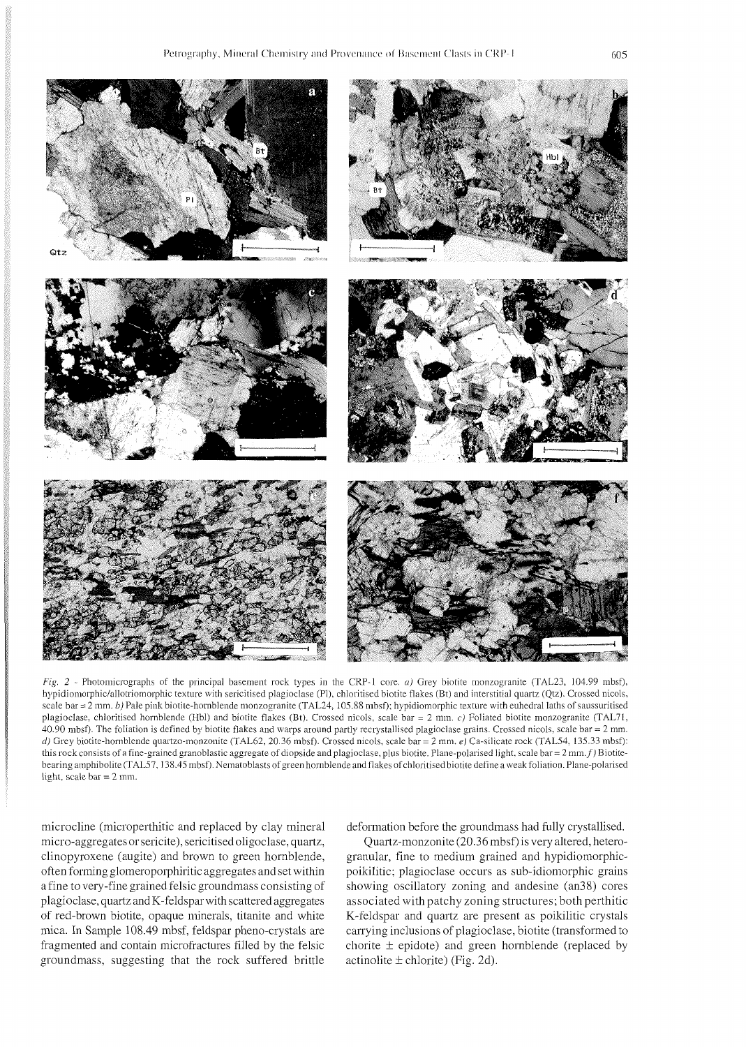

*Fie.* 2 - Photomicrographs of the principal basement rock types in the CRP-l core. a) Grey biotite monzogranite (TAL23, 104.99 mbsf). hypidiomorphic/allotriomorphic texture with sericitised plagioclase (PI). chloritised biotite flakes (Bt) and interstitial quartz (Qtz). Crossed nicols. scale bar = 2 mm. *b*) Pale pink biotite-hornblende monzogranite (TAL24, 105.88 mbsf); hypidiomorphic texture with euhedral laths of saussuritised plagioclase. chloritised hornblende (Hbl) and biotite flakes (Bt). Crossed nicols. scale bar = 2 mm. c) Foliated biotite monzogranite (TAL71, 40.90 nibsf). The foliation is defined by biotite flakes and warps around partly recrystallised plagioclase grains. Crossed nicols. scale bar = 2 mm. d) Grey biotite-hornblende quartzo-monzonite (TAL62, 20.36 mbsf). Crossed nicols. scale bar = 2 mm. *e)* Ca-silicate rock (TAL54, 135.33 mbsf): this rock consists of a fine-grained granoblastic aggregate of diopside and plagioclase, plus biotite. Plane-polarised light, scale bar = 2 mm. f) Biotitebearing amphibolite (TAL57.138.45 mbsf). Nematoblasts of green hornblende and flakes of chloritised biotite define a weakfoliation. Plane-polarised light. scale bar = 2 mm.

microcline (microperthitic and replaced by clay mineral micro-aggregates orsericite), sericitised oligoclase, quartz, clinopyroxene (augite) and brown to green hornblende, often forming glomeroporphiritic aggregates and set within a fine to very-fine grained felsic groundmass consisting of plagioclase, quartz and K-feldspar with scattered aggregates of red-brown biotite, opaque minerals, titanite and white mica. In Sample 108.49 mbsf, feldspar pheno-crystals are fragmented and contain microfractures filled by the felsic groundmass, suggesting that the rock suffered brittle

deformation before the groundmass had fully crystallised.

Quartz-monzonite (20.36 mbsf) is very altered, heterogranular, fine to medium grained and hypidiomorphicpoikilitic; plagioclase occurs as sub-idiomorphic grains showing oscillatory zoning and andesine (an38) cores associated with patchy zoning structures; both perthitic K-feldspar and quartz are present as poikilitic crystals carrying inclusions of plagioclase, biotite (transformed to chorite  $\pm$  epidote) and green hornblende (replaced by actinolite  $\pm$  chlorite) (Fig. 2d).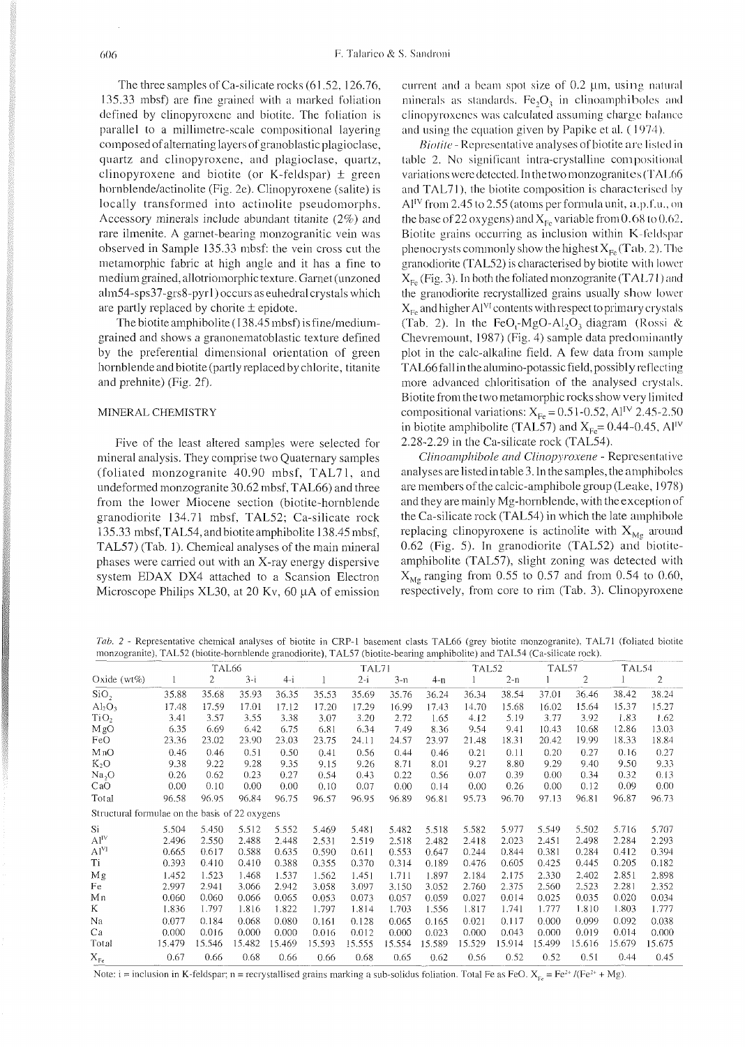The three samples of Ca-silicate rocks (61.52, 126.76. 135.33 mbsf) are fine grained with a marked foliation defined by clinopyroxenc and biotite. The foliation is parallel to a millimetre-scale compositional layering composed of alternating layers of granoblastic plagioclase. quartz and clinopyroxene. and plagioclase. quartz, clinopyroxene and biotite (or K-feldspar)  $\pm$  green hornblende/actinolite (Fig. 2e). Clinopyroxene (salite) is locally transformed into actinolite pseudomorphs. Accessory minerals include abundant titanite (2%) and rare ilmenite. A garnet-bearing monzogranitic vein was observed in Sample 135.33 mbsf: the vein cross cut the metamorphic fabric at high angle and it has a fine to medium grained, allotriomorphic texture. Garnet (unzoned alm54-sps37-grs8-pyrl ) occurs as euhedralcrystals which are partly replaced by chorite  $\pm$  epidote.

The biotite amphibolite ( $138.45$  mbsf) is fine/mediumgrained and shows a granonematoblastic texture defined by the preferential dimensional orientation of green hornblende and biotite (partly replaced by chlorite, titanite and prehnite) (Fig. 2f).

### MINERAL CHEMISTRY

Five of the least altered samples were selected for mineral analysis. They comprise two Quaternary samples (foliated monzogranite 40.90 mbsf, TAL71, and undeformed monzogranite 30.62 mbsf, TAL66) and three from the lower Miocene section (biotite-hornblende granodiorite 134.71 mbsf, TAL52; Ca-silicate rock 135.33 mbsf, TAL54, and biotite amphibolite 138.45 mbsf. TAL57) (Tab. 1). Chemical analyses of the main mineral phases were carried out with an X-ray energy dispersive system EDAX DX4 attached to a Scansion Electron Microscope Philips XL30, at 20 Kv, 60  $\mu$ A of emission current and a beam spot size of  $0.2$   $\mu$ m, using natural minerals as standards. Fe<sub>2</sub>O<sub>2</sub> in clinoamphiboles and clinopyroxenes was calculated assuming charge balance and using the equation given by Papike et al. (1974).

*Biotite* - Representative analyses of biotite are listed in table 2. No significant intra-crystalline compositional variations were detected. In the two monzogranites (TAL66 and TAL71), the biotite composition is characterised by  $Al<sup>IV</sup>$  from 2.45 to 2.55 (atoms per formula unit, a.p.f.u., on the base of 22 oxygens) and  $X_{F_R}$  variable from 0.68 to 0.62. Biotite grains occurring as inclusion within  $K$ -feldspar phenocrysts commonly show the highest  $X_{Fe}$ (Tab. 2). The granodiorite (TAL52) is characterised by biotite with lower  $X_{F_e}$  (Fig. 3). In both the foliated monzogranite (TAL71) and the granodiorite recrystallized grains usually show lower  $X_{Fe}$  and higher Al<sup>VI</sup> contents with respect to primary crystals (Tab. 2). In the FeO,-MgO-Al<sub>2</sub>O<sub>3</sub> diagram (Rossi & Chevremount, 1987) (Fig. 4) sample data predominantly plot in the calc-alkaline field. A few data from sample TAL66 fall in the alumino-potassic field, possibly reflecting more advanced chloritisation of the analysed crystals. Biotite from the two metamorphic rocks show very limited compositional variations:  $X_{Fe} = 0.51$ -0.52, Al<sup>IV</sup> 2.45-2.50 in biotite amphibolite (TAL57) and  $X_{Fe}$ = 0.44-0.45, Al<sup>IV</sup> 2.28-2.29 in the Ca-silicate rock (TAL54).

*Clinoamphibole and Clinopyroxene* - Representative analyses are listed in table 3. In the samples, the amphiboles are members of the calcic-amphibole group (Leakc. 1978) and they are mainly Mg-hornblende, with the exception of the Ca-silicate rock (TAL54) in which the late amphihole replacing clinopyroxene is actinolite with  $X_{M_g}$  around 0.62 (Fig. 5). In granodiorite (TAL52) and biotiteamphibolite (TAL57), slight zoning was detected with  $X_{Mg}$  ranging from 0.55 to 0.57 and from 0.54 to 0.60, respectively, from core to rim (Tab. 3). Clinopyroxene

Tab. 2 - Representative chemical analyses of biotite in CRP-l basement clasts TAL66 (grey biotite monzogranite). TAL71 (foliated biotite monzogranite), TAL52 (biotite-hornblende granodiorite), TAL57 (biotite-bearing amphibolite) and TAL54 (Ca-silicate rock).

|                                                |        |        | TAL <sub>66</sub> |        |        | TAL71   |        |        | TAL52  |        | TAL57  |                | TAL54  |                |
|------------------------------------------------|--------|--------|-------------------|--------|--------|---------|--------|--------|--------|--------|--------|----------------|--------|----------------|
| Oxide $(wt\%)$                                 |        | 2      | $3-i$             | $4-i$  |        | $2 - i$ | $3-n$  | 4-n    |        | $2-n$  |        | $\overline{2}$ |        | $\overline{c}$ |
| SiO <sub>2</sub>                               | 35.88  | 35.68  | 35.93             | 36.35  | 35.53  | 35.69   | 35.76  | 36.24  | 36.34  | 38.54  | 37.01  | 36.46          | 38.42  | 38.24          |
| $Al_2O_3$                                      | 17.48  | 17.59  | 17.01             | 17.12  | 17.20  | 17.29   | 16.99  | 17.43  | 14.70  | 15.68  | 16.02  | 15.64          | 15.37  | 15.27          |
| TiO <sub>2</sub>                               | 3.41   | 3.57   | 3.55              | 3.38   | 3.07   | 3.20    | 2.72   | 1.65   | 4.12   | 5.19   | 3.77   | 3.92           | 1.83   | 1.62           |
| MgO                                            | 6.35   | 6.69   | 6.42              | 6.75   | 6.81   | 6.34    | 7.49   | 8.36   | 9.54   | 9.41   | 10.43  | 10.68          | 12.86  | 13.03          |
| FeO                                            | 23.36  | 23.02  | 23.90             | 23.03  | 23.75  | 24.11   | 24.57  | 23.97  | 21.48  | 18.31  | 20.42  | 19.99          | 18.33  | 18.84          |
| M <sub>n</sub> O                               | 0.46   | 0.46   | 0.51              | 0.50   | 0.41   | 0.56    | 0.44   | 0.46   | 0.21   | 0.11   | 0.20   | 0.27           | 0.16   | 0.27           |
| $K_2O$                                         | 9.38   | 9.22   | 9.28              | 9.35   | 9.15   | 9.26    | 8.71   | 8.01   | 9.27   | 8.80   | 9.29   | 9.40           | 9.50   | 9.33           |
| Na <sub>2</sub> O                              | 0.26   | 0.62   | 0.23              | 0.27   | 0.54   | 0.43    | 0.22   | 0.56   | 0.07   | 0.39   | 0.00   | 0.34           | 0.32   | 0.13           |
| CaO                                            | 0.00   | 0.10   | 0.00              | 0.00   | 0.10   | 0.07    | 0.00   | 0.14   | 0.00   | 0.26   | 0.00   | 0.12           | 0.09   | 0.00           |
| Total                                          | 96.58  | 96.95  | 96.84             | 96.75  | 96.57  | 96.95   | 96.89  | 96.81  | 95.73  | 96.70  | 97.13  | 96.81          | 96.87  | 96.73          |
| Structural formulae on the basis of 22 oxygens |        |        |                   |        |        |         |        |        |        |        |        |                |        |                |
| Si                                             | 5.504  | 5.450  | 5.512             | 5.552  | 5.469  | 5.481   | 5.482  | 5.518  | 5.582  | 5.977  | 5.549  | 5.502          | 5.716  | 5.707          |
| Al <sup>IV</sup>                               | 2.496  | 2.550  | 2.488             | 2.448  | 2.531  | 2.519   | 2.518  | 2.482  | 2.418  | 2.023  | 2.451  | 2.498          | 2.284  | 2.293          |
| Al <sup>VI</sup>                               | 0.665  | 0.617  | 0.588             | 0.635  | 0.590  | 0.611   | 0.553  | 0.647  | 0.244  | 0.844  | 0.381  | 0.284          | 0.412  | 0.394          |
| Ti                                             | 0.393  | 0.410  | 0.410             | 0.388  | 0.355  | 0.370   | 0.314  | 0.189  | 0.476  | 0.605  | 0.425  | 0.445          | 0.205  | 0.182          |
| Mg                                             | 1.452  | 1.523  | 1.468             | 1.537  | 1.562  | 1.451   | 1.711  | 1.897  | 2.184  | 2.175  | 2.330  | 2.402          | 2.851  | 2.898          |
| Fe                                             | 2.997  | 2.941  | 3.066             | 2.942  | 3.058  | 3.097   | 3.150  | 3.052  | 2.760  | 2.375  | 2.560  | 2.523          | 2.281  | 2.352          |
| Мn                                             | 0.060  | 0.060  | 0.066             | 0.065  | 0.053  | 0.073   | 0.057  | 0.059  | 0.027  | 0.014  | 0.025  | 0.035          | 0.020  | 0.034          |
| K                                              | 1.836  | 1.797  | 1.816             | 1.822  | 1.797  | 1.814   | 1.703  | 1.556  | 1.817  | 1.741  | 1.777  | 1.810          | 1.803  | 1.777          |
| Na                                             | 0.077  | 0.184  | 0.068             | 0.080  | 0.161  | 0.128   | 0.065  | 0.165  | 0.021  | 0.117  | 0.000  | 0.099          | 0.092  | 0.038          |
| Ca                                             | 0.000  | 0.016  | 0.000             | 0.000  | 0.016  | 0.012   | 0.000  | 0.023  | 0.000  | 0.043  | 0.000  | 0.019          | 0.014  | 0.000          |
| Total                                          | 15.479 | 15.546 | 15.482            | 15.469 | 15.593 | 15.555  | 15.554 | 15.589 | 15.529 | 15.914 | 15.499 | 15.616         | 15.679 | 15.675         |
| $X_{Fe}$                                       | 0.67   | 0.66   | 0.68              | 0.66   | 0.66   | 0.68    | 0.65   | 0.62   | 0.56   | 0.52   | 0.52   | 0.51           | 0.44   | 0.45           |

Note: i = inclusion in K-feldspar; n = recrystallised grains marking a sub-solidus foliation. Total Fe as FeO.  $X_{\epsilon_2} = Fe^{2*}/(Fe^{2*} + Mg)$ .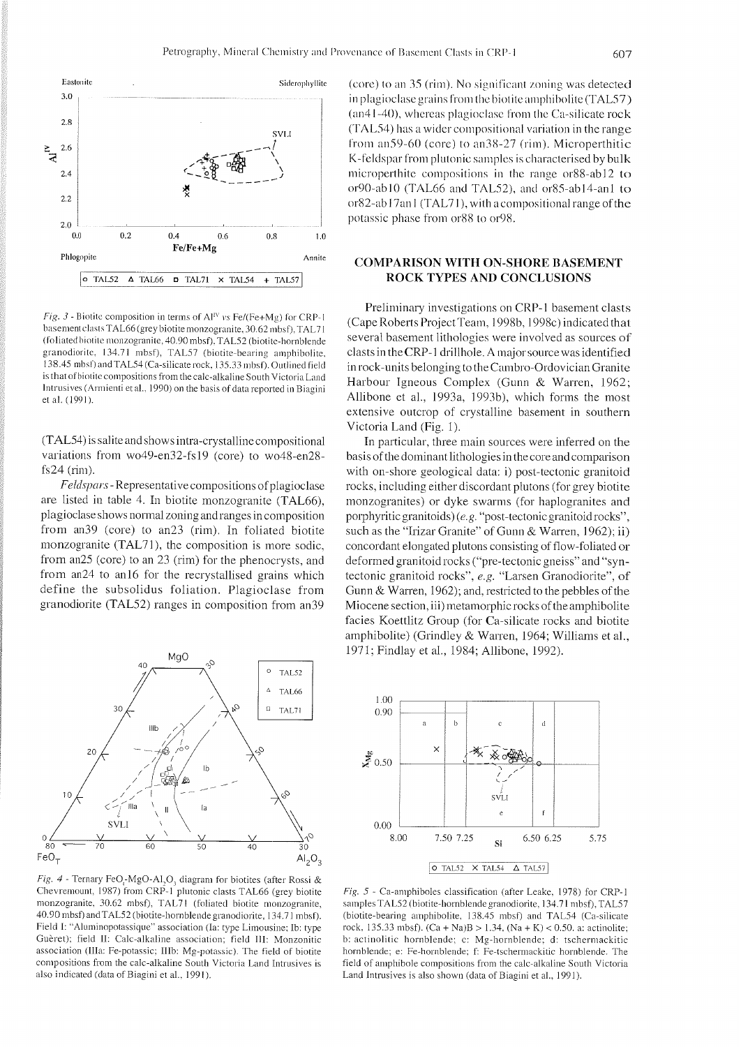

*Fig. 3* - Biotite composition in terms of  $Al^{IV}$  vs  $Fe/(Fe+Mg)$  for CRP-1 basement clasts TAL66 (grey biotite monzogranite, 30.62 mbsf), TAL71 (foliated biotite monzogranite, 40.90 mbsf), TAL52 (biotite-hornblende granodiorite, 134.71 mbsf), TAL57 (biotite-bearing amphibolite, 138.45 mbsf) and TAL54 (Ca-silicate rock, 135.33 mbsf). Outlined field is that of biotite compositions from the calc-alkaline South Victoria Land Intrusives (Armienti et al., 1990) on the basis of data reported in Biagini et al. (1991).

(TAL54) is salite and shows intra-crystalline compositional variations from wo49-en32-fsl9 (core) to wo48-en28 fs24 (rim).

Feldspars - Representative compositions ofplagioclase are listed in table 4. In biotite monzogranite (TAL66), plagioclase shows normal zoning and ranges in composition from an39 (core) to an23 (rim). In foliated biotite monzogranite (TAL71), the composition is more sodic, from an25 (core) to an 23 (rim) for the phenocrysts, and from an24 to an16 for the recrystallised grains which define the subsolidus foliation. Plagioclase from granodiorite (TAL52) ranges in composition from an39



Fig. 4 - Ternary FeO<sub>r</sub>-MgO-A1,O<sub>3</sub> diagram for biotites (after Rossi & Chevremount, 1987) from CRP-1 plutonic clasts TAL66 (grey biotite monzogranite, 30.62 mbsf), TAL71 (foliated biotite monzogranite, 40.90 mbsf) andTAL52 (biotite-hornblende granodiorite. 134.7 1 mbsf). Field I: "Aluminopotassique" association (Ia: type Limousine; Ib: type Guèret); field II: Calc-alkaline association; field III: Monzonitic association (Ilia: Fe-potassic: IIIb: Mg-potassic). The field of biotite compositions from the calc-alkaline South Victoria Land Intrusives is also indicated (data of Biagini et al.. 1991).

(core) to an  $35$  (rim). No significant zoning was detected in plagioclase grains from the biotite amphibolite (TAL57)  $(an41 - 40)$ , whereas plagioclase from the Ca-silicate rock  $(TAL54)$  has a wider compositional variation in the range from an59-60 (core) to an38-27 (rim). Microperthitic K-feldspar from plutonic samples is characterised by bulk microperthite compositions in the range or88-ab12 to or90-ab10 (TAL66 and TAL52), and or85-ab14-an1 to  $or 82$ -ab  $17$ an  $1 (TAL71)$ , with a compositional range of the potassic phase from or88 to or98.

## **COMPARISON WITH ON-SHORE BASEMENT ROCK TYPES AND CONCLUSIONS**

Preliminary investigations on CRP-1 basement clasts (Cape Roberts Project Team, 1998b. 1998c) indicated that several basement lithologies were involved as sources of clasts in the CRP-1 drillhole. A major source was identified in rock-units belonging to the Cambro-Ordovician Granite Harbour Igneous Complex (Gunn & Warren, 1962; Allibone et al., 1993a, 1993b), which forms the most extensive outcrop of crystalline basement in southern Victoria Land (Fig. 1).

In particular, three main sources were inferred on the basis of the dominant lithologies in the core and comparison with on-shore geological data: i) post-tectonic granitoid rocks, including either discordant plutons (for grey biotite monzogranites) or dyke swarms (for haplogranites and porphyritic granitoids) (e.g. "post-tectonic granitoid rocks", such as the "Irizar Granite" of Gunn & Warren, 1962); ii) concordant elongated plutons consisting of flow-foliated or deformed granitoid rocks ("pre-tectonic gneiss" and "syntectonic granitoid rocks", *e.g.* "Larsen Granodiorite", of Gunn & Warren, 1962); and, restricted to the pebbles of the Miocene section, iii) metamorphic rocks of the amphibolite facies Koettlitz Group (for Ca-silicate rocks and biotite amphibolite) (Grindley & Warren, 1964; Williams et al., 1971; Findlay et al., 1984; Allibone, 1992).



*Fig. 5* - Ca-amphiboles classification (after Leake. 1978) for CRP-l samples TAL52 (biotite-hornblende granodiorite, 134.71 mbsf), TAL57 (biotite-bearing amphibolite. 138.45 mbsf) and TAL54 (Ca-silicate rock. 135.33 mbsf). (Ca + Na)B > 1.34, (Na + K) < 0.50. a: actinolite; b: actinolitic hornblende; c: Mg-hornblende; d: tschermackitic hornblende; e: Fe-hornblende; f: Fe-tschermackitic hornblende. The field of amphibole compositions from the calc-alkaline South Victoria Land Intrusives is also shown (data of Biagini et al.. 1991).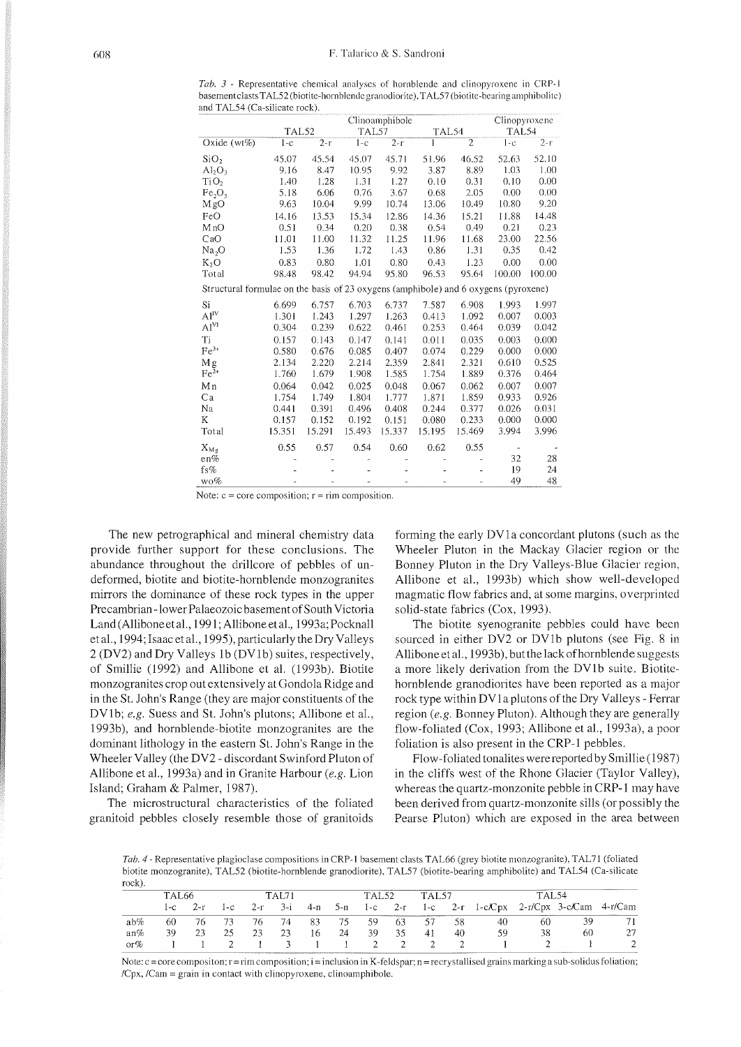Tab. 3 - Representative chemical analyses of hornblende and clinopyroxene in CRP-1 basement clasts TAL52 (biotite-hornblende granodiorite), TAL57 (biotite-bearing amphibolite) and TAL54 (Ca-silicate rock).

|                                                                                     |        |        | Clinopyroxene |        |        |                |        |        |  |
|-------------------------------------------------------------------------------------|--------|--------|---------------|--------|--------|----------------|--------|--------|--|
|                                                                                     | TAL52  |        | TAL57         |        | TAL54  |                | TAL54  |        |  |
| Oxide $(wt\%)$                                                                      | $1-c$  | $2-r$  | $1 - c$       | $2-r$  | 1      | $\overline{2}$ | $1-c$  | $2-r$  |  |
| SiO <sub>2</sub>                                                                    | 45.07  | 45.54  | 45.07         | 45.71  | 51.96  | 46.52          | 52.63  | 52.10  |  |
| $Al_2O_3$                                                                           | 9.16   | 8.47   | 10.95         | 9.92   | 3.87   | 8.89           | 1.03   | 1.00   |  |
| TiO <sub>2</sub>                                                                    | 1.40   | 1.28   | 1.31          | 1.27   | 0.10   | 0.31           | 0.10   | 0.00   |  |
| Fe <sub>2</sub> O <sub>3</sub>                                                      | 5.18   | 6.06   | 0.76          | 3.67   | 0.68   | 2.05           | 0.00   | 0.00   |  |
| M gO                                                                                | 9.63   | 10.04  | 9.99          | 10.74  | 13.06  | 10.49          | 10.80  | 9.20   |  |
| FeO                                                                                 | 14.16  | 13.53  | 15.34         | 12.86  | 14.36  | 15.21          | 11.88  | 14.48  |  |
| MnO                                                                                 | 0.51   | 0.34   | 0.20          | 0.38   | 0.54   | 0.49           | 0.21   | 0.23   |  |
| CaO                                                                                 | 11.01  | 11.00  | 11.32         | 11.25  | 11.96  | 11.68          | 23.00  | 22.56  |  |
| Na <sub>2</sub> O                                                                   | 1.53   | 1.36   | 1.72          | 1.43   | 0.86   | 1.31           | 0.35   | 0.42   |  |
| $K_2O$                                                                              | 0.83   | 0.80   | 1.01          | 0.80   | 0.43   | 1.23           | 0.00   | 0.00   |  |
| Total                                                                               | 98.48  | 98.42  | 94.94         | 95.80  | 96.53  | 95.64          | 100.00 | 100.00 |  |
| Structural formulae on the basis of 23 oxygens (amphibole) and 6 oxygens (pyroxene) |        |        |               |        |        |                |        |        |  |
| Si                                                                                  | 6.699  | 6.757  | 6.703         | 6.737  | 7.587  | 6.908          | 1.993  | 1.997  |  |
| ${\rm Al}^{\rm IV}$                                                                 | 1.301  | 1.243  | 1.297         | 1.263  | 0.413  | 1.092          | 0.007  | 0.003  |  |
| Al <sup>VI</sup>                                                                    | 0.304  | 0.239  | 0.622         | 0.461  | 0.253  | 0.464          | 0.039  | 0.042  |  |
| Ti                                                                                  | 0.157  | 0.143  | 0.147         | 0.141  | 0.011  | 0.035          | 0.003  | 0.000  |  |
| $Fe3+$                                                                              | 0.580  | 0.676  | 0.085         | 0.407  | 0.074  | 0.229          | 0.000  | 0.000  |  |
| Μg                                                                                  | 2.134  | 2.220  | 2.214         | 2.359  | 2.841  | 2.321          | 0.610  | 0.525  |  |
| $Fe2+$                                                                              | 1.760  | 1.679  | 1.908         | 1.585  | 1.754  | 1.889          | 0.376  | 0.464  |  |
| Mn                                                                                  | 0.064  | 0.042  | 0.025         | 0.048  | 0.067  | 0.062          | 0.007  | 0.007  |  |
| Ca                                                                                  | 1.754  | 1.749  | 1.804         | 1.777  | 1.871  | 1.859          | 0.933  | 0.926  |  |
| Na                                                                                  | 0.441  | 0.391  | 0.496         | 0.408  | 0.244  | 0.377          | 0.026  | 0.031  |  |
| K                                                                                   | 0.157  | 0.152  | 0.192         | 0.151  | 0.080  | 0.233          | 0.000  | 0.000  |  |
| Total                                                                               | 15.351 | 15.291 | 15.493        | 15.337 | 15.195 | 15.469         | 3.994  | 3.996  |  |
| $X_{Mg}$                                                                            | 0.55   | 0.57   | 0.54          | 0.60   | 0.62   | 0.55           |        |        |  |
| en%                                                                                 |        |        |               |        |        |                | 32     | 28     |  |
| fs%                                                                                 |        |        |               |        |        |                | 19     | 24     |  |
| wo%                                                                                 |        |        |               |        |        |                | 49     | 48     |  |

Note:  $c = core composition$ ;  $r = rim composition$ .

The new petrographical and mineral chemistry data provide further support for these conclusions. The abundance throughout the drillcore of pebbles of undeformed, biotite and biotite-hornblende monzogranites mirrors the dominance of these rock types in the upper Precambrian - lower Palaeozoic basement of South Victoria Land (Allibone et al., 1991; Allibone et al., 1993a; Pocknall et al., 1994; Isaac et al., 1995), particularly the Dry Valleys 2 (DV2) and Dry Valleys 1b (DV1b) suites, respectively, of Smillie (1992) and Allibone et al. (1993b). Biotite monzogranites crop out extensively at Gondola Ridge and in the St. John's Range (they are major constituents of the DV1b; e.g. Suess and St. John's plutons; Allibone et al., 1993b), and hornblende-biotite monzogranites are the dominant lithology in the eastern St. John's Range in the Wheeler Valley (the DV2 - discordant Swinford Pluton of Allibone et al., 1993a) and in Granite Harbour (e.g. Lion Island; Graham & Palmer, 1987).

The microstructural characteristics of the foliated granitoid pebbles closely resemble those of granitoids forming the early DV1a concordant plutons (such as the Wheeler Pluton in the Mackay Glacier region or the Bonney Pluton in the Dry Valleys-Blue Glacier region, Allibone et al., 1993b) which show well-developed magmatic flow fabrics and, at some margins, overprinted solid-state fabrics (Cox, 1993).

The biotite syenogranite pebbles could have been sourced in either DV2 or DV1b plutons (see Fig. 8 in Allibone et al., 1993b), but the lack of hornblende suggests a more likely derivation from the DV1b suite. Biotitehornblende granodiorites have been reported as a major rock type within DV1 a plutons of the Dry Valleys - Ferrar region (e.g. Bonney Pluton). Although they are generally flow-foliated (Cox, 1993; Allibone et al., 1993a), a poor foliation is also present in the CRP-1 pebbles.

Flow-foliated tonalites were reported by Smillie (1987) in the cliffs west of the Rhone Glacier (Taylor Valley), whereas the quartz-monzonite pebble in CRP-1 may have been derived from quartz-monzonite sills (or possibly the Pearse Pluton) which are exposed in the area between

Tab. 4 - Representative plagioclase compositions in CRP-1 basement clasts TAL66 (grey biotite monzogranite), TAL71 (foliated biotite monzogranite), TAL52 (biotite-hornblende granodiorite), TAL57 (biotite-bearing amphibolite) and TAL54 (Ca-silicate rock).

| OUNT.  |        |             |       |       |               |    |      |                                   |      |      |    |                                                         |     |    |  |
|--------|--------|-------------|-------|-------|---------------|----|------|-----------------------------------|------|------|----|---------------------------------------------------------|-----|----|--|
|        | TAL 66 |             |       | TAL71 |               |    |      | <b>TAL57</b><br>TAL <sub>52</sub> |      |      |    | TAL 54                                                  |     |    |  |
|        |        | $1-c$ $2-r$ | $1-c$ |       | $2-r$ $3-i$   |    |      |                                   |      |      |    | 4-n 5-n 1-c 2-r 1-c 2-r 1-c/Cpx 2-r/Cpx 3-c/Cam 4-r/Cam |     |    |  |
| $ab\%$ | 60     | -76         | - 73  | 76    | 74            | 83 | - 75 | -59                               | -63  | - 57 | 58 | 40                                                      | 60. | 39 |  |
| $an\%$ | 39     | 23          | 25    | 23    | 23            | 16 | -24  | 39                                | - 35 | 41   | 40 | 59                                                      | 38  | 60 |  |
| or $%$ |        |             |       |       | $\sim$ $\sim$ |    |      |                                   | 2 2  |      |    |                                                         |     |    |  |

Note:  $c = core composition$ ;  $r = rim composition$ ;  $i = inclusion$  in K-feldspar;  $n = reversatallised grains$  marking a sub-solidus foliation; /Cpx, /Cam = grain in contact with clinopyroxene, clinoamphibole.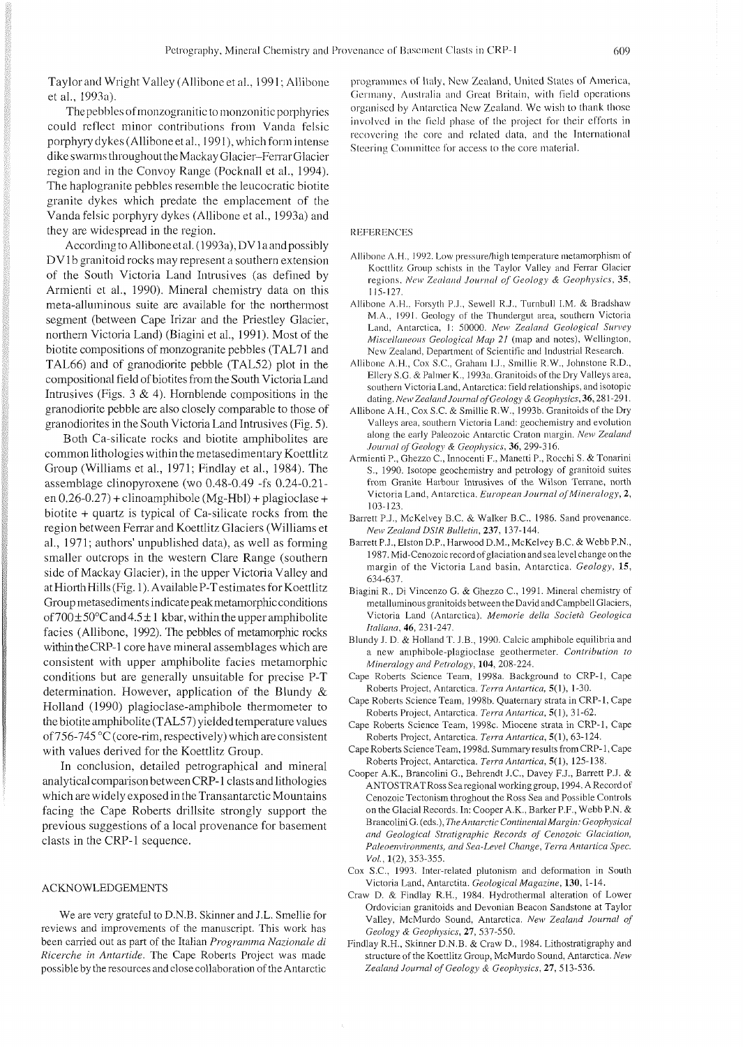Taylorand Wright Valley (Allibone et al., 1991; Allibone et al., 1993a).

The pebbles ofmonzogranitic to monzonitic porphyries could reflect minor contributions from Vanda felsic porphyry dykes (Allibone et al., 1991), which form intense dikeswarms throughout theMackay Glacier-Ferrar Glacier region and in the Convoy Range (Pocknall et al., 1994). The haplogranite pebbles resemble the leucocratic biotite granite dykes which predate the emplacement of the Vanda felsic porphyry dykes (Allibone et al., 1993a) and they are widespread in the region.

According to Allibone et al. (1993a), DV 1 a and possibly DV1b granitoid rocks may represent a southern extension of the South Victoria Land Intrusives (as defined by Armienti et al., 1990). Mineral chemistry data on this meta-alluminous suite are available for the northermost segment (between Cape Irizar and the Priestley Glacier, northern Victoria Land) (Biagini et al., 1991). Most of the biotite compositions of monzogranite pebbles (TAL71 and TAL66) and of granodiorite pebble (TAL52) plot in the compositional field of biotites from the South Victoria Land Intrusives (Figs.  $3 \& 4$ ). Hornblende compositions in the granodiorite pebble are also closely comparable to those of granodiorites in the South Victoria Land Intrusives (Fig. 5).

Both Ca-silicate rocks and biotite amphibolites are common lithologies within the metasedimentary Koettlitz Group (Williams et al., 1971; Findlay et al., 1984). The assemblage clinopyroxene (WO 0.48-0.49 -fs 0.24-0.21 en  $0.26 - 0.27$ ) + clinoamphibole (Mg-Hbl) + plagioclase + biotite + quartz is typical of Ca-silicate rocks from the region between Ferrar and Koettlitz Glaciers (Williams et al., 1971; authors' unpublished data), as well as forming smaller outcrops in the western Clare Range (southern side of Mackay Glacier), in the upper Victoria Valley and at Hiorth Hills (Fig. 1). Available P-T estimates for Koettlitz Group metasediments indicate peakmetamorphicconditions of  $700 \pm 50^{\circ}$ C and  $4.5 \pm 1$  kbar, within the upper amphibolite facies (Allibone, 1992). The pebbles of metamorphic rocks within theCRP-1 core have mineral assemblages which are consistent with upper amphibolite facies metamorphic conditions but are generally unsuitable for precise P-T determination. However, application of the Blundy & Holland (1990) plagioclase-amphibole thermometer to the biotite amphibolite (TAL57) yielded temperature values of 756-745 °C (core-rim, respectively) which are consistent with values derived for the Koettlitz Group.

In conclusion, detailed petrographical and mineral analytical comparison between CRP-1 clasts and lithologies which are widely exposed in the Transantarctic Mountains facing the Cape Roberts drillsite strongly support the previous suggestions of a local provenance for basement clasts in the CRP-1 sequence.

#### ACKNOWLEDGEMENTS

We are very grateful to D.N.B. Skinner and J.L. Smellie for reviews and improvements of the manuscript. This work has been carried out as part of the Italian *Programma Nazionale di Ricerche in Antartide. The* Cape Roberts Project was made possibleby theresources and close collaboration of the Antarctic

programmes of Italy, New Zealand, United States of America, Germany, Australia and Great Britain, with field operations organised by Antarctica New Zealand. We wish to thank those involved in the field phase of the project for their efforts in recovering the core and related data, and the International Steering Committee for access to the core material.

## **REFERENCES**

- Allibone A.H., 1992. Low pressure/high temperature metamorphism of Kocttlitz Group schists in the Taylor Valley and Ferrar Glacier regions. *A'cu' Zealand Journal* of *Geology* & *Geophysics,* 35, 1 15- 127.
- Allibone A.H., Forsyth P.J., Sewell R.J., Turnbull I.M. & Bradshaw M.A., 1991. Geology of the Thundergut area, southern Victoria Land, Antarctica, 1: 50000. New Zealand Geological Survey *Miscellaneous Geological Map 21* (map and notes), Wellington, New Zcaland, Department of Scientific and Industrial Research.
- Allibonc A.H., Cox S.C.. Graham I.J., Smillie R.W., Johnstone R.D., Ellcry S.G. & Palmer K.. 1993a. Granitoids of the Dry Valleys area, southern Victoria Land. Antarctica: field relationships. and isotopic dating. *New Zealand Journal of Geology & Geophysics*, 36, 281-291.
- Allibone A.H., Cox S.C. & Smillie R.W.. 1993b. Granitoids of the Dry Valleys area, southern Victoria Land: geochemistry and evolution along the early Paleozoic Antarctic Craton margin. *New Zealand Journal of Geology* & *Geophysics.* 36,299-316.
- Armienti P,. Ghezzo C., Innocenti F., Manetti P,. Rocchi S. & Tonarini S.. 1990. Isotope geochemistry and petrology of granitoid suites from Granite Harbour Intrusives of the Wilson Terrane, north Victoria Land, Antarctica. *European Journal ofMineralogy,* 2, 103-123.
- Barrett P.J.. McKelvey B.C. & Walker B.C.. 1986. Sand provenance. *New Zealand DSIR Bullletin,* 237. 137- 144.
- Barrett P.J.. Elston D.P.. Harwood D.M.. McKelvey B.C. & Webb P.N., 1987. Mid-Cenozoic record of glaciation andsealevelchange on the margin of the Victoria Land basin, Antarctica. *Geology,* 15. 634-637.
- Biagini R.. Di Vincenzo G. & Ghezzo C., 1991. Mineral chemistry of metalluminous granitoids between the David and Campbell Glaciers, Victoria Land (Antarctica). *Memorie della Società Geologica Ifaliana,* 46. 231 -247.
- Blundy J. D. & Holland T. J.B., 1990. Calcic amphibole equilibria and a new amphibole-plagioclase geothermeter. *Contribution to Mineralogy and Petrology,* 104, 208-224.
- Cape Roberts Science Team. 1998a. Background to CRP-l, Cape Roberts Project. Antarctica. *Terra Antarrica,* 5(1). 1-30.
- Cape Roberts Science Team, 1998b. Quaternary strata in CRP-1, Cape Roberts Project, Antarctica. *Terra Antartica,* 5(1). 31-62.
- Cape Roberts Science Team, 1998c. Miocene strata in CRP-l, Cape Roberts Project, Antarctica. *Terra Antartica,* 5(1), 63-124.
- CapeRoberts ScienceTeam, 1998d. Summary results from CRP- 1, Cape Roberts Project, Antarctica. *Terra Antartica,* 5(1), 125-138.
- Cooper A.K., Brancolini G.. Behrendt J.C., Davey F.J., Barrett P.J. & ANTOSTRATRoss Sea regional working group, 1994. ARecordof Cenozoic Tectonism throghout the Ross Sea and Possible Controls on the Glacial Records. In: Cooper A.K., Barker P.F., Webb P.N. & Brancolini G. (eds.). *The Antarctic ContinentaIMargin: Geophysical and Geological Stratigraphic Records of Cenozoic Glaciation, Paleoenvironments, and Sea-Level Change, Terra Antartica Spec. Vol.,* 1(2), 353-355.
- Cox S.C.. 1993. Inter-related plutonism and deformation in South Victoria Land, Antarctita. *Geological Magazhe,* 130, 1-14.
- Craw D. & Findlay R.H., 1984. Hydrothermal alteration of Lower Ordovician granitoids and Devonian Beacon Sandstone at Taylor Valley. McMurdo Sound. Antarctica. *New Zealand Journal of Geology* & *Geophysics.* 27, 537-550.
- Findlay R.H.. Skinner D.N.B. & Craw D., 1984. Lithostratigraphy and structure of the Koettlitz Group, McMurdo Sound, Antarctica. *New Zealand Journal of Geology* & *Geophysics,* 27, 513-536.